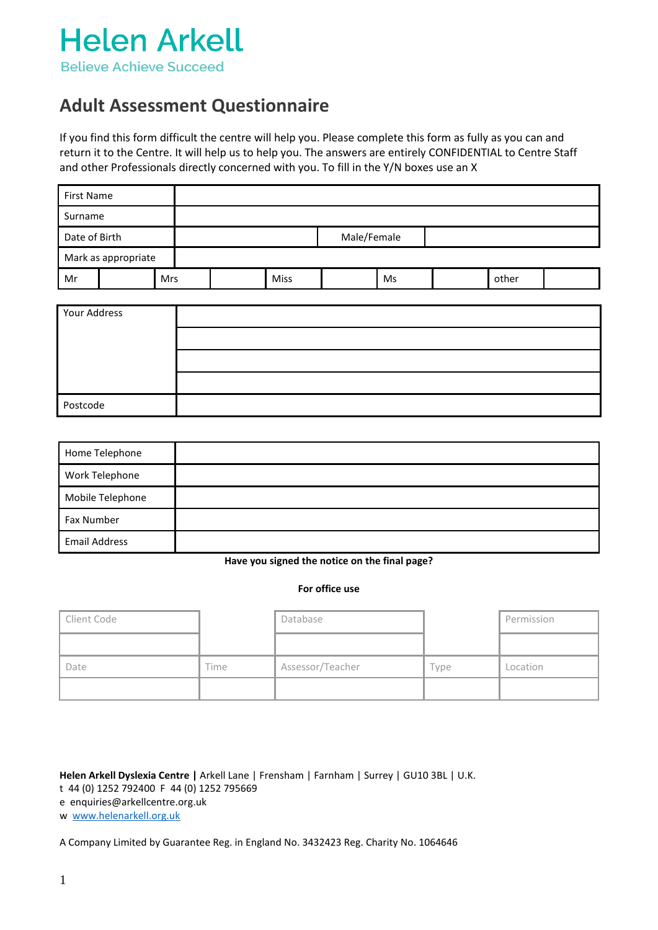

### **Adult Assessment Questionnaire**

If you find this form difficult the centre will help you. Please complete this form as fully as you can and return it to the Centre. It will help us to help you. The answers are entirely CONFIDENTIAL to Centre Staff and other Professionals directly concerned with you. To fill in the Y/N boxes use an X

| First Name    |                     |            |             |             |  |    |  |       |  |
|---------------|---------------------|------------|-------------|-------------|--|----|--|-------|--|
| Surname       |                     |            |             |             |  |    |  |       |  |
| Date of Birth |                     |            | Male/Female |             |  |    |  |       |  |
|               | Mark as appropriate |            |             |             |  |    |  |       |  |
| Mr            |                     | <b>Mrs</b> |             | <b>Miss</b> |  | Ms |  | other |  |

| Your Address |  |
|--------------|--|
|              |  |
|              |  |
|              |  |
| Postcode     |  |

| Home Telephone       |  |
|----------------------|--|
| Work Telephone       |  |
| Mobile Telephone     |  |
| Fax Number           |  |
| <b>Email Address</b> |  |

**Have you signed the notice on the final page?**

#### **For office use**

| Client Code |      | Database         |      | Permission |
|-------------|------|------------------|------|------------|
|             |      |                  |      |            |
| Date        | Time | Assessor/Teacher | Type | Location   |
|             |      |                  |      |            |

### **Helen Arkell Dyslexia Centre |** Arkell Lane | Frensham | Farnham | Surrey | GU10 3BL | U.K.

t 44 (0) 1252 792400 F 44 (0) 1252 795669

e enquiries@arkellcentre.org.uk

w [www.helenarkell.org.uk](http://www.helenarkell.org.uk/)

A Company Limited by Guarantee Reg. in England No. 3432423 Reg. Charity No. 1064646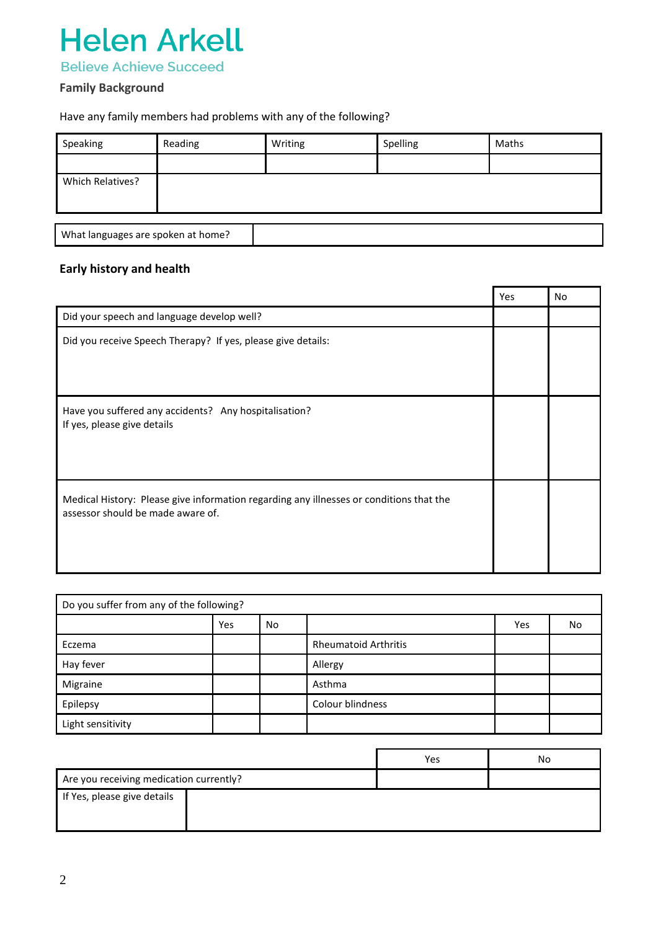

### **Family Background**

### Have any family members had problems with any of the following?

| Speaking                           | Reading | Writing | Spelling | Maths |  |  |  |  |
|------------------------------------|---------|---------|----------|-------|--|--|--|--|
|                                    |         |         |          |       |  |  |  |  |
| Which Relatives?                   |         |         |          |       |  |  |  |  |
|                                    |         |         |          |       |  |  |  |  |
|                                    |         |         |          |       |  |  |  |  |
| What languages are spoken at home? |         |         |          |       |  |  |  |  |

### **Early history and health**

|                                                                                                                              | Yes | No. |
|------------------------------------------------------------------------------------------------------------------------------|-----|-----|
| Did your speech and language develop well?                                                                                   |     |     |
| Did you receive Speech Therapy? If yes, please give details:                                                                 |     |     |
| Have you suffered any accidents? Any hospitalisation?<br>If yes, please give details                                         |     |     |
| Medical History: Please give information regarding any illnesses or conditions that the<br>assessor should be made aware of. |     |     |

| Do you suffer from any of the following? |            |           |                             |     |    |  |  |  |
|------------------------------------------|------------|-----------|-----------------------------|-----|----|--|--|--|
|                                          | <b>Yes</b> | <b>No</b> |                             | Yes | No |  |  |  |
| Eczema                                   |            |           | <b>Rheumatoid Arthritis</b> |     |    |  |  |  |
| Hay fever                                |            |           | Allergy                     |     |    |  |  |  |
| Migraine                                 |            |           | Asthma                      |     |    |  |  |  |
| Epilepsy                                 |            |           | Colour blindness            |     |    |  |  |  |
| Light sensitivity                        |            |           |                             |     |    |  |  |  |

|                                         | Yes | No |
|-----------------------------------------|-----|----|
| Are you receiving medication currently? |     |    |
| If Yes, please give details             |     |    |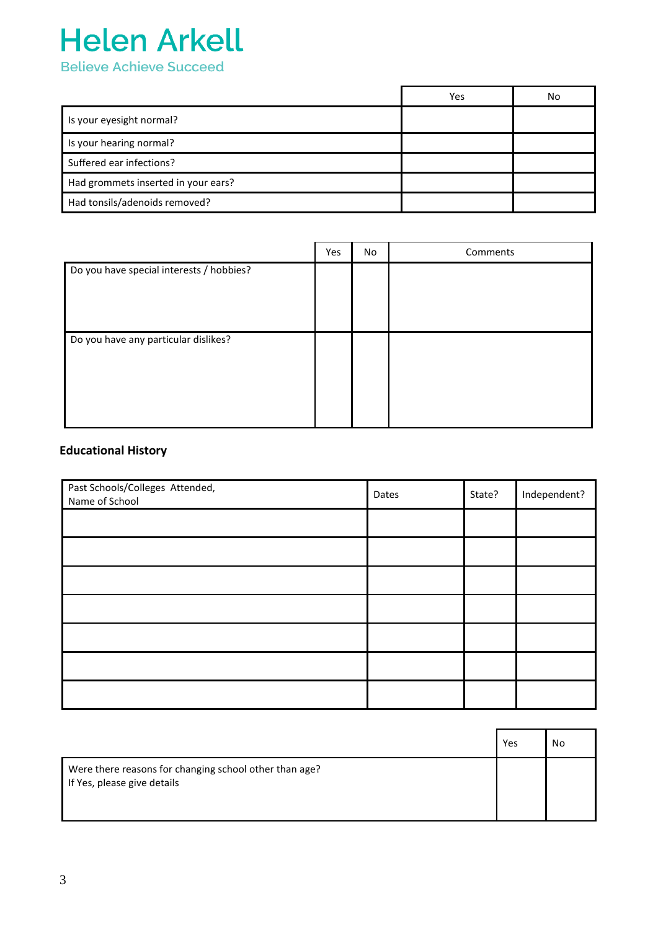

|                                     | Yes | No |
|-------------------------------------|-----|----|
| Is your eyesight normal?            |     |    |
| Is your hearing normal?             |     |    |
| Suffered ear infections?            |     |    |
| Had grommets inserted in your ears? |     |    |
| Had tonsils/adenoids removed?       |     |    |

|                                          | Yes | No | Comments |
|------------------------------------------|-----|----|----------|
| Do you have special interests / hobbies? |     |    |          |
| Do you have any particular dislikes?     |     |    |          |

### **Educational History**

| Past Schools/Colleges Attended,<br>Name of School | Dates | State? | Independent? |
|---------------------------------------------------|-------|--------|--------------|
|                                                   |       |        |              |
|                                                   |       |        |              |
|                                                   |       |        |              |
|                                                   |       |        |              |
|                                                   |       |        |              |
|                                                   |       |        |              |
|                                                   |       |        |              |

|                                                                                       | Yes | No |
|---------------------------------------------------------------------------------------|-----|----|
| Were there reasons for changing school other than age?<br>If Yes, please give details |     |    |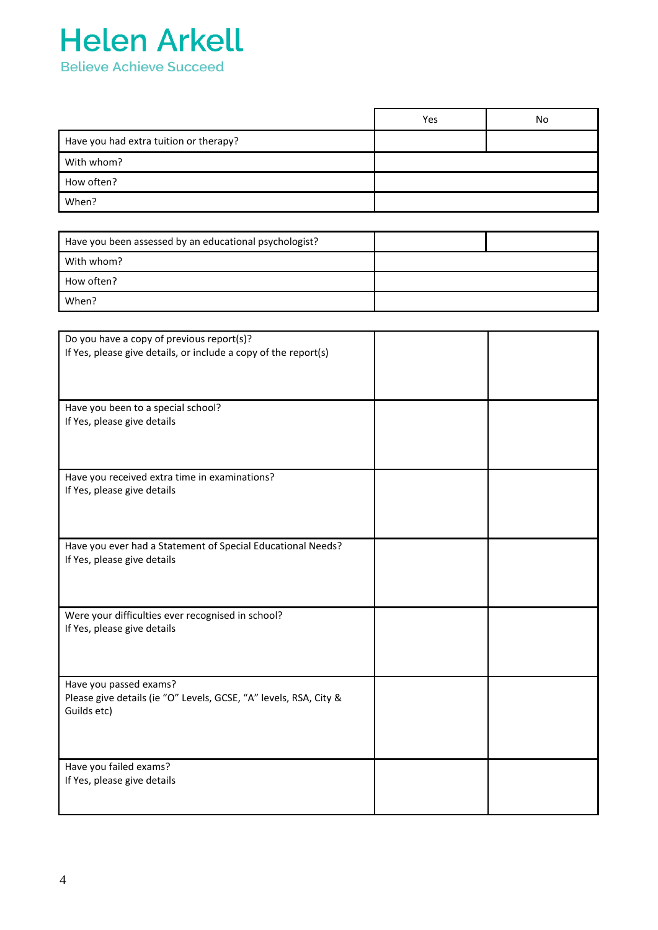

|                                        | Yes | No |
|----------------------------------------|-----|----|
| Have you had extra tuition or therapy? |     |    |
| With whom?                             |     |    |
| How often?                             |     |    |
| When?                                  |     |    |

| Have you been assessed by an educational psychologist? |  |
|--------------------------------------------------------|--|
| With whom?                                             |  |
| How often?                                             |  |
| When?                                                  |  |

| Do you have a copy of previous report(s)?                         |  |
|-------------------------------------------------------------------|--|
| If Yes, please give details, or include a copy of the report(s)   |  |
|                                                                   |  |
|                                                                   |  |
|                                                                   |  |
|                                                                   |  |
| Have you been to a special school?                                |  |
| If Yes, please give details                                       |  |
|                                                                   |  |
|                                                                   |  |
|                                                                   |  |
| Have you received extra time in examinations?                     |  |
| If Yes, please give details                                       |  |
|                                                                   |  |
|                                                                   |  |
|                                                                   |  |
|                                                                   |  |
| Have you ever had a Statement of Special Educational Needs?       |  |
| If Yes, please give details                                       |  |
|                                                                   |  |
|                                                                   |  |
|                                                                   |  |
| Were your difficulties ever recognised in school?                 |  |
| If Yes, please give details                                       |  |
|                                                                   |  |
|                                                                   |  |
|                                                                   |  |
| Have you passed exams?                                            |  |
| Please give details (ie "O" Levels, GCSE, "A" levels, RSA, City & |  |
| Guilds etc)                                                       |  |
|                                                                   |  |
|                                                                   |  |
|                                                                   |  |
|                                                                   |  |
| Have you failed exams?                                            |  |
| If Yes, please give details                                       |  |
|                                                                   |  |
|                                                                   |  |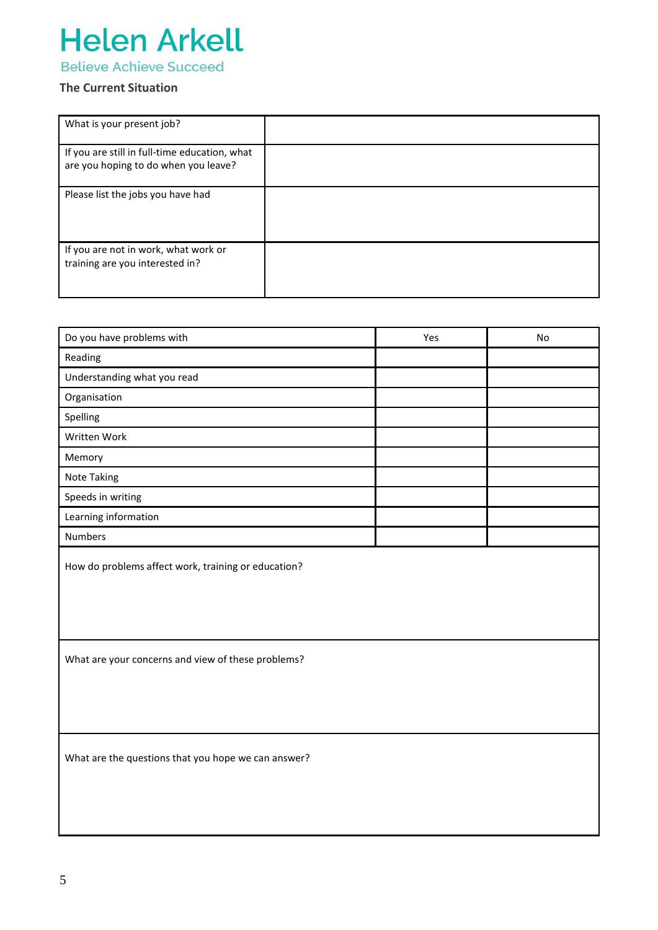# **Helen Arkell**

**Believe Achieve Succeed** 

### **The Current Situation**

| What is your present job?                                                             |  |
|---------------------------------------------------------------------------------------|--|
| If you are still in full-time education, what<br>are you hoping to do when you leave? |  |
| Please list the jobs you have had                                                     |  |
| If you are not in work, what work or<br>training are you interested in?               |  |

| Do you have problems with                           | Yes | No |
|-----------------------------------------------------|-----|----|
| Reading                                             |     |    |
| Understanding what you read                         |     |    |
| Organisation                                        |     |    |
| Spelling                                            |     |    |
| Written Work                                        |     |    |
| Memory                                              |     |    |
| Note Taking                                         |     |    |
| Speeds in writing                                   |     |    |
| Learning information                                |     |    |
| <b>Numbers</b>                                      |     |    |
| How do problems affect work, training or education? |     |    |
| What are your concerns and view of these problems?  |     |    |
| What are the questions that you hope we can answer? |     |    |